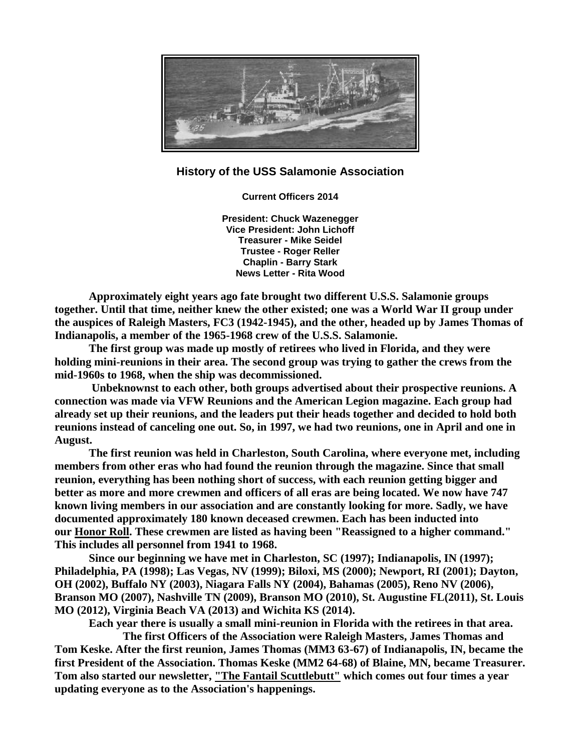

## **History of the USS Salamonie Association**

**Current Officers 2014**

**President: Chuck Wazenegger Vice President: John Lichoff Treasurer - Mike Seidel Trustee - Roger Reller Chaplin - Barry Stark News Letter - Rita Wood**

**Approximately eight years ago fate brought two different U.S.S. Salamonie groups together. Until that time, neither knew the other existed; one was a World War II group under the auspices of Raleigh Masters, FC3 (1942-1945), and the other, headed up by James Thomas of Indianapolis, a member of the 1965-1968 crew of the U.S.S. Salamonie.**

**The first group was made up mostly of retirees who lived in Florida, and they were holding mini-reunions in their area. The second group was trying to gather the crews from the mid-1960s to 1968, when the ship was decommissioned.**

**Unbeknownst to each other, both groups advertised about their prospective reunions. A connection was made via VFW Reunions and the American Legion magazine. Each group had already set up their reunions, and the leaders put their heads together and decided to hold both reunions instead of canceling one out. So, in 1997, we had two reunions, one in April and one in August.**

**The first reunion was held in Charleston, South Carolina, where everyone met, including members from other eras who had found the reunion through the magazine. Since that small reunion, everything has been nothing short of success, with each reunion getting bigger and better as more and more crewmen and officers of all eras are being located. We now have 747 known living members in our association and are constantly looking for more. Sadly, we have documented approximately 180 known deceased crewmen. Each has been inducted into our [Honor Roll.](http://www.usssalamonie.org/HonorRoll.html) These crewmen are listed as having been "Reassigned to a higher command." This includes all personnel from 1941 to 1968.**

**Since our beginning we have met in Charleston, SC (1997); Indianapolis, IN (1997); Philadelphia, PA (1998); Las Vegas, NV (1999); Biloxi, MS (2000); Newport, RI (2001); Dayton, OH (2002), Buffalo NY (2003), Niagara Falls NY (2004), Bahamas (2005), Reno NV (2006), Branson MO (2007), Nashville TN (2009), Branson MO (2010), St. Augustine FL(2011), St. Louis MO (2012), Virginia Beach VA (2013) and Wichita KS (2014).**

**Each year there is usually a small mini-reunion in Florida with the retirees in that area.** 

**The first Officers of the Association were Raleigh Masters, James Thomas and Tom Keske. After the first reunion, James Thomas (MM3 63-67) of Indianapolis, IN, became the first President of the Association. Thomas Keske (MM2 64-68) of Blaine, MN, became Treasurer. Tom also started our newsletter, ["The Fantail Scuttlebutt"](http://www.usssalamonie.org/Scuttlebutt.html) which comes out four times a year updating everyone as to the Association's happenings.**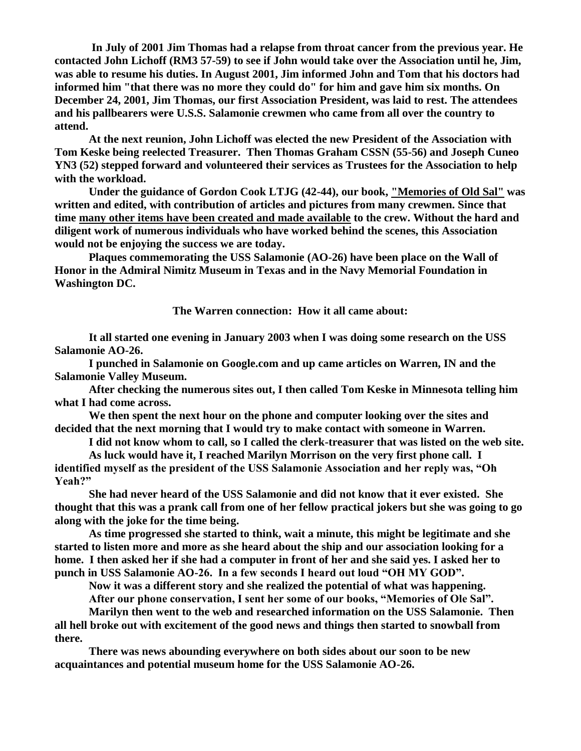**In July of 2001 Jim Thomas had a relapse from throat cancer from the previous year. He contacted John Lichoff (RM3 57-59) to see if John would take over the Association until he, Jim, was able to resume his duties. In August 2001, Jim informed John and Tom that his doctors had informed him "that there was no more they could do" for him and gave him six months. On December 24, 2001, Jim Thomas, our first Association President, was laid to rest. The attendees and his pallbearers were U.S.S. Salamonie crewmen who came from all over the country to attend.**

**At the next reunion, John Lichoff was elected the new President of the Association with Tom Keske being reelected Treasurer. Then Thomas Graham CSSN (55-56) and Joseph Cuneo YN3 (52) stepped forward and volunteered their services as Trustees for the Association to help with the workload.**

**Under the guidance of Gordon Cook LTJG (42-44), our book, ["Memories of Old Sal"](http://www.usssalamonie.org/Store.html) was written and edited, with contribution of articles and pictures from many crewmen. Since that time [many other items have been created and made available](http://www.usssalamonie.org/Store.html) to the crew. Without the hard and diligent work of numerous individuals who have worked behind the scenes, this Association would not be enjoying the success we are today.**

**Plaques commemorating the USS Salamonie (AO-26) have been place on the Wall of Honor in the Admiral Nimitz Museum in Texas and in the Navy Memorial Foundation in Washington DC.**

**The Warren connection: How it all came about:**

**It all started one evening in January 2003 when I was doing some research on the USS Salamonie AO-26.**

**I punched in Salamonie on Google.com and up came articles on Warren, IN and the Salamonie Valley Museum.**

**After checking the numerous sites out, I then called Tom Keske in Minnesota telling him what I had come across.**

**We then spent the next hour on the phone and computer looking over the sites and decided that the next morning that I would try to make contact with someone in Warren.**

**I did not know whom to call, so I called the clerk-treasurer that was listed on the web site.**

**As luck would have it, I reached Marilyn Morrison on the very first phone call. I identified myself as the president of the USS Salamonie Association and her reply was, "Oh Yeah?"**

**She had never heard of the USS Salamonie and did not know that it ever existed. She thought that this was a prank call from one of her fellow practical jokers but she was going to go along with the joke for the time being.**

**As time progressed she started to think, wait a minute, this might be legitimate and she started to listen more and more as she heard about the ship and our association looking for a home. I then asked her if she had a computer in front of her and she said yes. I asked her to punch in USS Salamonie AO-26. In a few seconds I heard out loud "OH MY GOD".**

**Now it was a different story and she realized the potential of what was happening.**

**After our phone conservation, I sent her some of our books, "Memories of Ole Sal".**

**Marilyn then went to the web and researched information on the USS Salamonie. Then all hell broke out with excitement of the good news and things then started to snowball from there.**

**There was news abounding everywhere on both sides about our soon to be new acquaintances and potential museum home for the USS Salamonie AO-26.**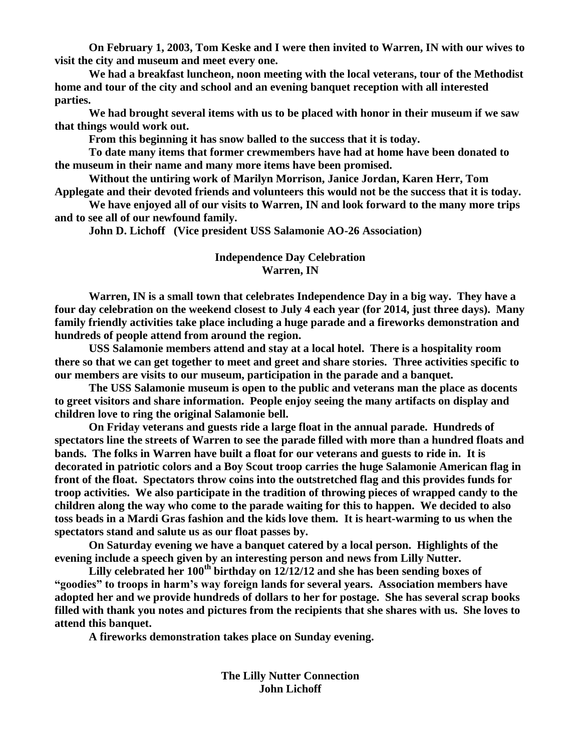**On February 1, 2003, Tom Keske and I were then invited to Warren, IN with our wives to visit the city and museum and meet every one.**

**We had a breakfast luncheon, noon meeting with the local veterans, tour of the Methodist home and tour of the city and school and an evening banquet reception with all interested parties.**

**We had brought several items with us to be placed with honor in their museum if we saw that things would work out.** 

**From this beginning it has snow balled to the success that it is today.**

**To date many items that former crewmembers have had at home have been donated to the museum in their name and many more items have been promised.**

**Without the untiring work of Marilyn Morrison, Janice Jordan, Karen Herr, Tom Applegate and their devoted friends and volunteers this would not be the success that it is today.**

**We have enjoyed all of our visits to Warren, IN and look forward to the many more trips and to see all of our newfound family.**

**John D. Lichoff (Vice president USS Salamonie AO-26 Association)**

## **Independence Day Celebration Warren, IN**

**Warren, IN is a small town that celebrates Independence Day in a big way. They have a four day celebration on the weekend closest to July 4 each year (for 2014, just three days). Many family friendly activities take place including a huge parade and a fireworks demonstration and hundreds of people attend from around the region.**

**USS Salamonie members attend and stay at a local hotel. There is a hospitality room there so that we can get together to meet and greet and share stories. Three activities specific to our members are visits to our museum, participation in the parade and a banquet.** 

**The USS Salamonie museum is open to the public and veterans man the place as docents to greet visitors and share information. People enjoy seeing the many artifacts on display and children love to ring the original Salamonie bell.**

**On Friday veterans and guests ride a large float in the annual parade. Hundreds of spectators line the streets of Warren to see the parade filled with more than a hundred floats and bands. The folks in Warren have built a float for our veterans and guests to ride in. It is decorated in patriotic colors and a Boy Scout troop carries the huge Salamonie American flag in front of the float. Spectators throw coins into the outstretched flag and this provides funds for troop activities. We also participate in the tradition of throwing pieces of wrapped candy to the children along the way who come to the parade waiting for this to happen. We decided to also toss beads in a Mardi Gras fashion and the kids love them. It is heart-warming to us when the spectators stand and salute us as our float passes by.**

**On Saturday evening we have a banquet catered by a local person. Highlights of the evening include a speech given by an interesting person and news from Lilly Nutter.** 

**Lilly celebrated her 100th birthday on 12/12/12 and she has been sending boxes of "goodies" to troops in harm's way foreign lands for several years. Association members have adopted her and we provide hundreds of dollars to her for postage. She has several scrap books filled with thank you notes and pictures from the recipients that she shares with us. She loves to attend this banquet.**

**A fireworks demonstration takes place on Sunday evening.**

**The Lilly Nutter Connection John Lichoff**